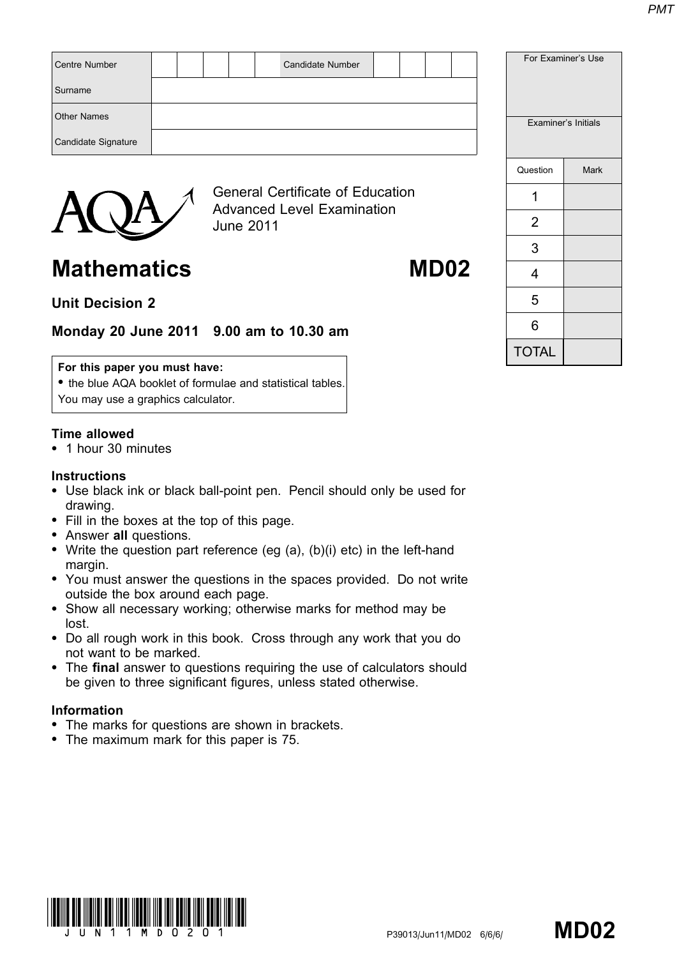| <b>Centre Number</b> | <b>Candidate Number</b>                                                      |          | For Examiner's Use  |
|----------------------|------------------------------------------------------------------------------|----------|---------------------|
| Surname              |                                                                              |          |                     |
| <b>Other Names</b>   |                                                                              |          | Examiner's Initials |
| Candidate Signature  |                                                                              |          |                     |
|                      |                                                                              | Question | <b>Mark</b>         |
|                      | <b>General Certificate of Education</b><br><b>Advanced Level Examination</b> |          |                     |
|                      | <b>June 2011</b>                                                             | ⌒        |                     |

Mathematics MD02

# Unit Decision 2

# Monday 20 June 2011 9.00 am to 10.30 am

### For this paper you must have:

• the blue AQA booklet of formulae and statistical tables. You may use a graphics calculator.

# Time allowed

\* 1 hour 30 minutes

## **Instructions**

- Use black ink or black ball-point pen. Pencil should only be used for drawing.
- Fill in the boxes at the top of this page.
- Answer all questions.
- Write the question part reference (eg  $(a)$ ,  $(b)(i)$  etc) in the left-hand margin.
- \* You must answer the questions in the spaces provided. Do not write outside the box around each page.
- \* Show all necessary working; otherwise marks for method may be lost.
- Do all rough work in this book. Cross through any work that you do not want to be marked.
- The final answer to questions requiring the use of calculators should be given to three significant figures, unless stated otherwise.

# Information

- The marks for questions are shown in brackets.
- The maximum mark for this paper is 75.



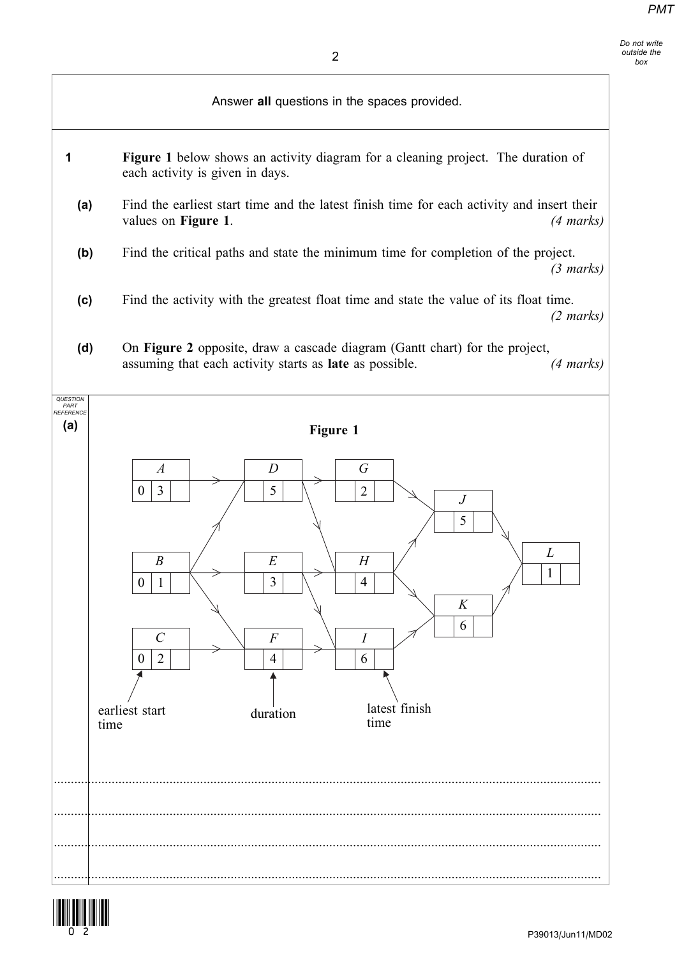

.................................................................................................................................................................

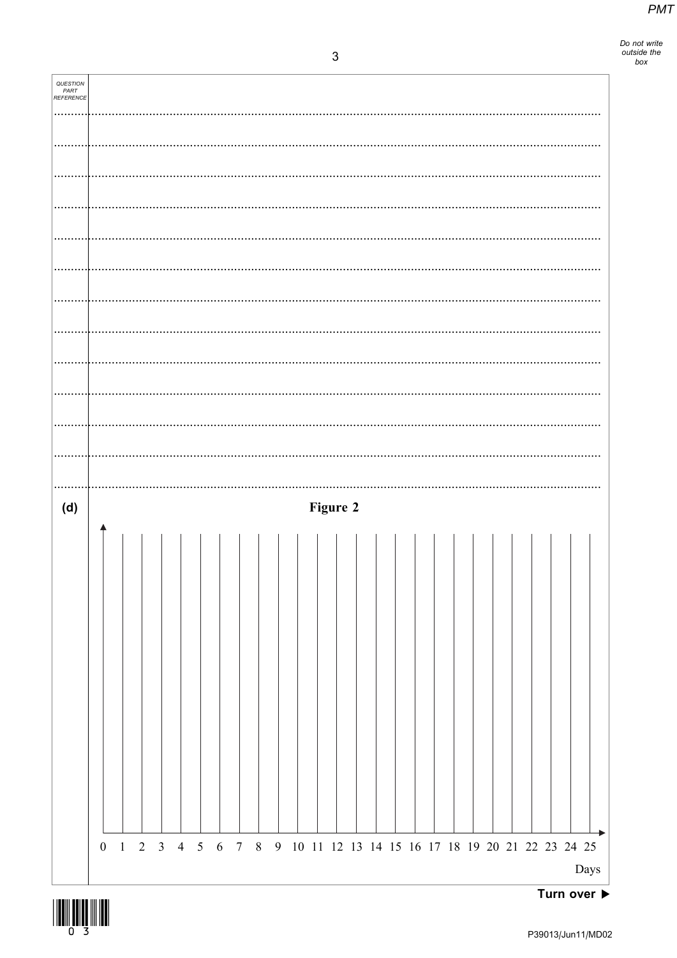Do not write<br>outside the<br>box



 $\mathbf{3}$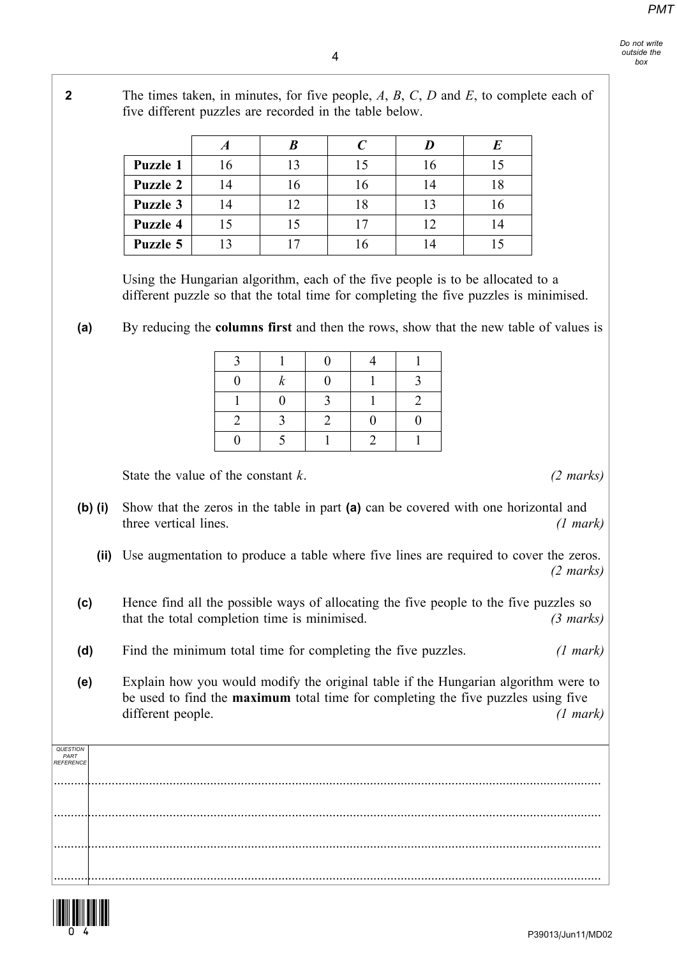|                 |    |    | $\epsilon$ | Ð  | E  |
|-----------------|----|----|------------|----|----|
| <b>Puzzle 1</b> | 16 | 13 | 15         | 16 | 15 |
| <b>Puzzle 2</b> | 14 | 16 | 16         |    | 18 |
| <b>Puzzle 3</b> | 14 | 12 | 18         | 13 | 16 |
| <b>Puzzle 4</b> | 15 | 15 | 17         | 12 | 14 |
| <b>Puzzle 5</b> | 13 |    |            |    |    |

2 The times taken, in minutes, for five people,  $A, B, C, D$  and  $E$ , to complete each of five different puzzles are recorded in the table below.

> Using the Hungarian algorithm, each of the five people is to be allocated to a different puzzle so that the total time for completing the five puzzles is minimised.

(a) By reducing the columns first and then the rows, show that the new table of values is

|               |                  | $\Omega$     |               |                             |
|---------------|------------------|--------------|---------------|-----------------------------|
| 0             | $\boldsymbol{k}$ | 0            |               | $\mathbf 3$                 |
|               | 0                | $\mathbf{R}$ |               | $\mathcal{D}_{\mathcal{L}}$ |
| $\mathcal{D}$ | $\mathbf{c}$     | 2            | 0             | 0                           |
| 0             |                  |              | $\mathcal{D}$ |                             |

State the value of the constant  $k$ . (2 marks)

- (b) (i) Show that the zeros in the table in part (a) can be covered with one horizontal and three vertical lines. (1 mark)
	- (ii) Use augmentation to produce a table where five lines are required to cover the zeros. (2 marks)
- (c) Hence find all the possible ways of allocating the five people to the five puzzles so that the total completion time is minimised. (3 marks)
- (d) Find the minimum total time for completing the five puzzles. (1 mark)
- (e) Explain how you would modify the original table if the Hungarian algorithm were to be used to find the maximum total time for completing the five puzzles using five different people. (1 mark)

| QUESTION<br>PART |   |
|------------------|---|
|                  |   |
| REFERENCE        |   |
|                  |   |
|                  |   |
|                  |   |
|                  |   |
|                  |   |
|                  |   |
|                  | . |
|                  |   |
|                  |   |
|                  |   |
|                  | . |
|                  |   |
|                  |   |
|                  |   |
|                  |   |
|                  |   |



P39013/Jun11/MD02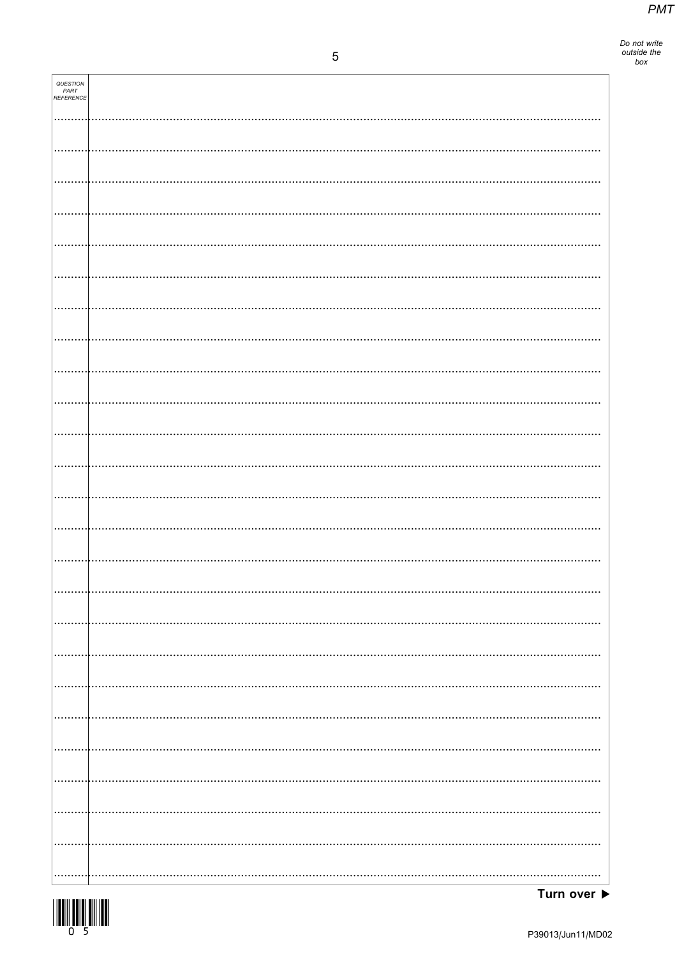| QUESTION<br>PART<br>REFERENCE |  |
|-------------------------------|--|
|                               |  |
|                               |  |
|                               |  |
|                               |  |
|                               |  |
|                               |  |
|                               |  |
|                               |  |
|                               |  |
|                               |  |
|                               |  |
|                               |  |
|                               |  |
|                               |  |
|                               |  |
|                               |  |
|                               |  |
|                               |  |
| . .                           |  |
|                               |  |
|                               |  |
|                               |  |
|                               |  |
|                               |  |

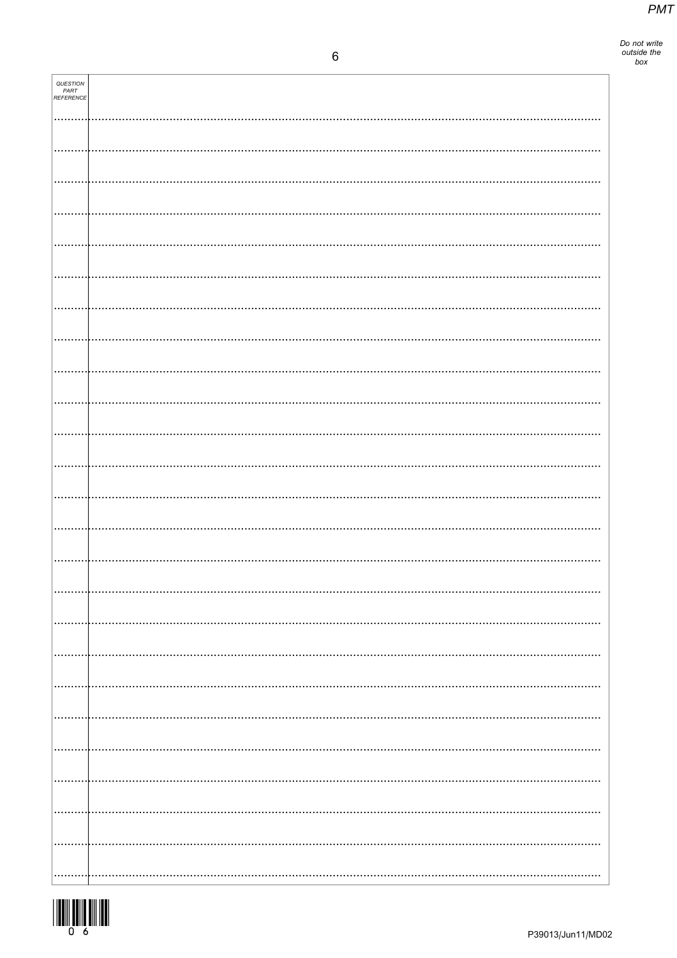| QUESTION<br>PART<br>REFERENCE<br>$\ddotsc$ |  |
|--------------------------------------------|--|
|                                            |  |
|                                            |  |
|                                            |  |
|                                            |  |
|                                            |  |
|                                            |  |
|                                            |  |
|                                            |  |
|                                            |  |
|                                            |  |
|                                            |  |
|                                            |  |
|                                            |  |
|                                            |  |
|                                            |  |
|                                            |  |
|                                            |  |
|                                            |  |
|                                            |  |
|                                            |  |
|                                            |  |
|                                            |  |
|                                            |  |
|                                            |  |
|                                            |  |
|                                            |  |
|                                            |  |
|                                            |  |
|                                            |  |
|                                            |  |
|                                            |  |
|                                            |  |
|                                            |  |
|                                            |  |
|                                            |  |
|                                            |  |
|                                            |  |
|                                            |  |
|                                            |  |
|                                            |  |
|                                            |  |
|                                            |  |
|                                            |  |
|                                            |  |
|                                            |  |
|                                            |  |
|                                            |  |
|                                            |  |
|                                            |  |

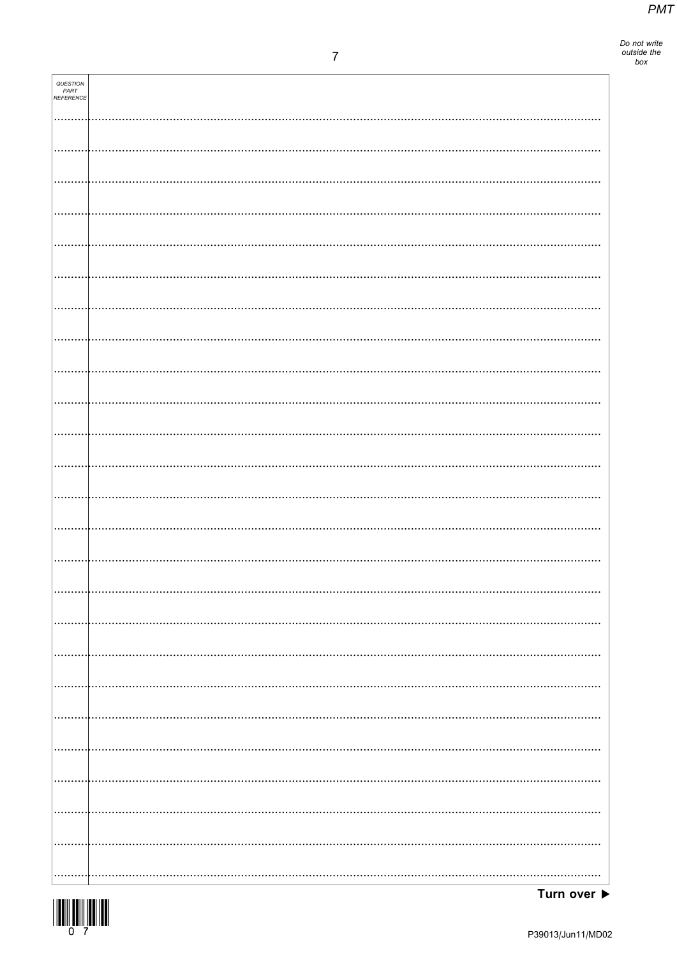Do not write<br>outside the<br>box

| QUESTION<br>PART<br>REFERENCE |  |
|-------------------------------|--|
|                               |  |
|                               |  |
|                               |  |
|                               |  |
|                               |  |
|                               |  |
|                               |  |
|                               |  |
|                               |  |
|                               |  |
|                               |  |
|                               |  |
|                               |  |
|                               |  |
|                               |  |
|                               |  |
|                               |  |
|                               |  |
|                               |  |
|                               |  |
|                               |  |
|                               |  |
|                               |  |
|                               |  |
|                               |  |
|                               |  |



Turn over ▶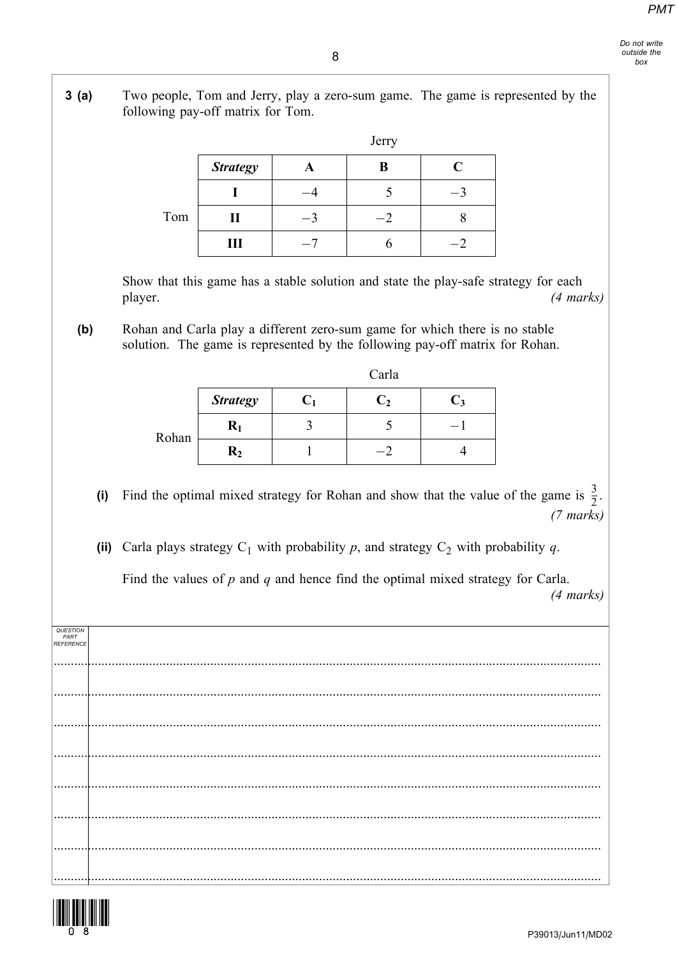3 (a) Two people, Tom and Jerry, play a zero-sum game. The game is represented by the following pay-off matrix for Tom.

8

|     |                 | Jerry |              |
|-----|-----------------|-------|--------------|
|     | <b>Strategy</b> | B     | $\mathsf{C}$ |
|     |                 |       |              |
| Tom | $\bf{I}$        |       |              |
|     | Ш               |       |              |

Show that this game has a stable solution and state the play-safe strategy for each player. (4 marks)

(b) Rohan and Carla play a different zero-sum game for which there is no stable solution. The game is represented by the following pay-off matrix for Rohan.

|       |                 | Carla |       |
|-------|-----------------|-------|-------|
|       | <b>Strategy</b> | じっ    | $C_3$ |
| Rohan | $\mathbf{R}_1$  |       |       |
|       | $\mathbf{R}_2$  |       |       |

- (i) Find the optimal mixed strategy for Rohan and show that the value of the game is  $\frac{3}{2}$ . (7 marks)
- (ii) Carla plays strategy  $C_1$  with probability p, and strategy  $C_2$  with probability q.

Find the values of  $p$  and  $q$  and hence find the optimal mixed strategy for Carla. (4 marks)

| QUESTION<br>PART |  |
|------------------|--|
|                  |  |
| REFERENCE        |  |
|                  |  |
|                  |  |
|                  |  |
|                  |  |
|                  |  |
|                  |  |
|                  |  |
|                  |  |
|                  |  |
|                  |  |
|                  |  |
|                  |  |
|                  |  |
|                  |  |
|                  |  |
|                  |  |
|                  |  |
|                  |  |
|                  |  |
|                  |  |
|                  |  |
|                  |  |
|                  |  |
|                  |  |
|                  |  |
|                  |  |
|                  |  |
|                  |  |
|                  |  |
|                  |  |
|                  |  |
|                  |  |

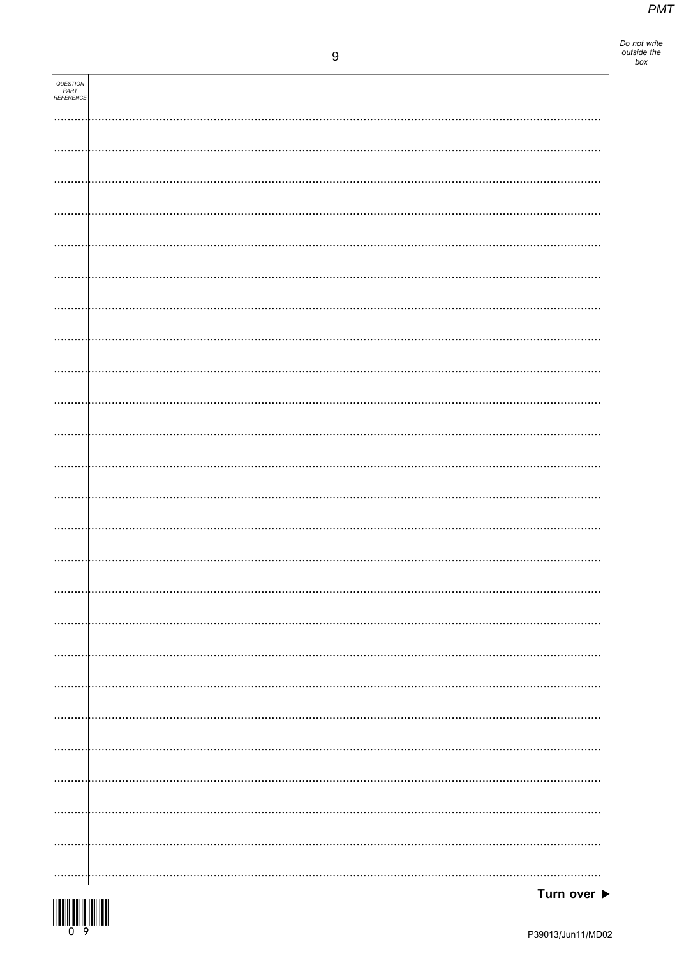Do not write<br>outside the<br>box

| QUESTION<br>PART<br>REFERENCE |  |
|-------------------------------|--|
|                               |  |
|                               |  |
|                               |  |
|                               |  |
|                               |  |
|                               |  |
|                               |  |
|                               |  |
|                               |  |
|                               |  |
|                               |  |
|                               |  |
|                               |  |
|                               |  |
|                               |  |
|                               |  |
|                               |  |
|                               |  |
|                               |  |
|                               |  |
|                               |  |
|                               |  |
|                               |  |
|                               |  |
|                               |  |
|                               |  |



Turn over ▶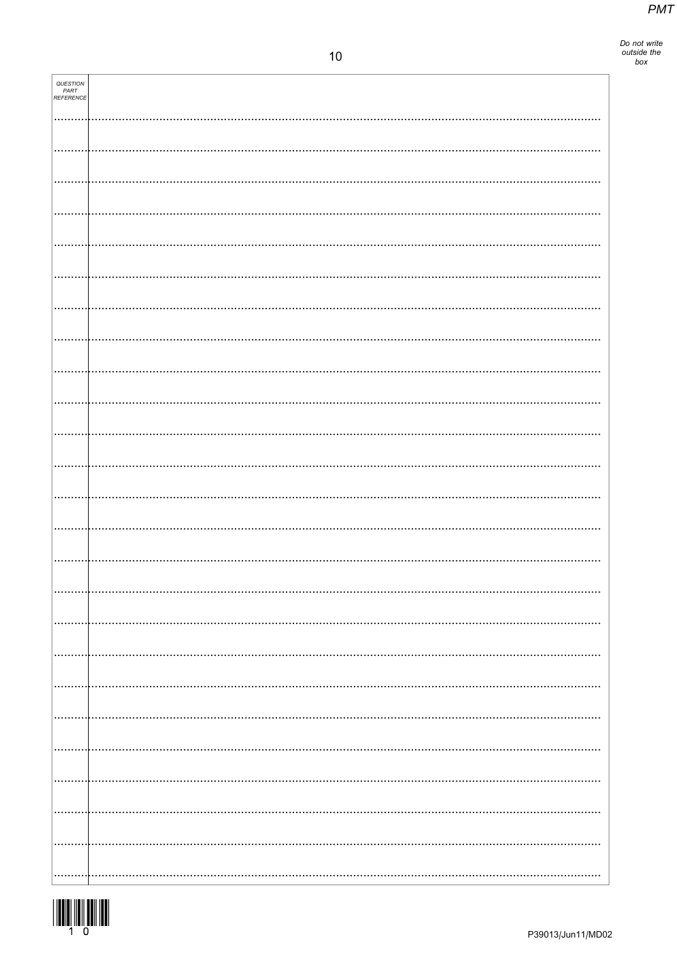| QUESTION<br>PART<br>REFERENCE |  |
|-------------------------------|--|
|                               |  |
|                               |  |
|                               |  |
|                               |  |
|                               |  |
|                               |  |
|                               |  |
|                               |  |
|                               |  |
|                               |  |
|                               |  |
|                               |  |
|                               |  |
|                               |  |
|                               |  |
|                               |  |
|                               |  |
|                               |  |
|                               |  |
|                               |  |
|                               |  |
|                               |  |
|                               |  |
|                               |  |
|                               |  |
|                               |  |
|                               |  |
|                               |  |
|                               |  |
|                               |  |
|                               |  |
|                               |  |
|                               |  |
|                               |  |
|                               |  |
|                               |  |
|                               |  |
|                               |  |
|                               |  |
|                               |  |
|                               |  |
|                               |  |
|                               |  |
|                               |  |
|                               |  |
|                               |  |
|                               |  |
|                               |  |
|                               |  |
|                               |  |
|                               |  |
|                               |  |
|                               |  |
|                               |  |
|                               |  |
|                               |  |
|                               |  |
|                               |  |
|                               |  |
|                               |  |
|                               |  |
|                               |  |
|                               |  |
|                               |  |
|                               |  |
|                               |  |
|                               |  |
|                               |  |
|                               |  |
|                               |  |
|                               |  |
|                               |  |
|                               |  |
|                               |  |
|                               |  |
|                               |  |
|                               |  |
|                               |  |
|                               |  |
|                               |  |
|                               |  |
|                               |  |
|                               |  |
|                               |  |
|                               |  |
|                               |  |
|                               |  |
|                               |  |
|                               |  |
|                               |  |
|                               |  |
|                               |  |
|                               |  |
|                               |  |
|                               |  |
|                               |  |
|                               |  |
|                               |  |
|                               |  |
|                               |  |
|                               |  |
|                               |  |
|                               |  |
|                               |  |
|                               |  |
|                               |  |
|                               |  |
|                               |  |
|                               |  |
|                               |  |
|                               |  |
|                               |  |
|                               |  |
|                               |  |
|                               |  |
|                               |  |
|                               |  |
|                               |  |
|                               |  |

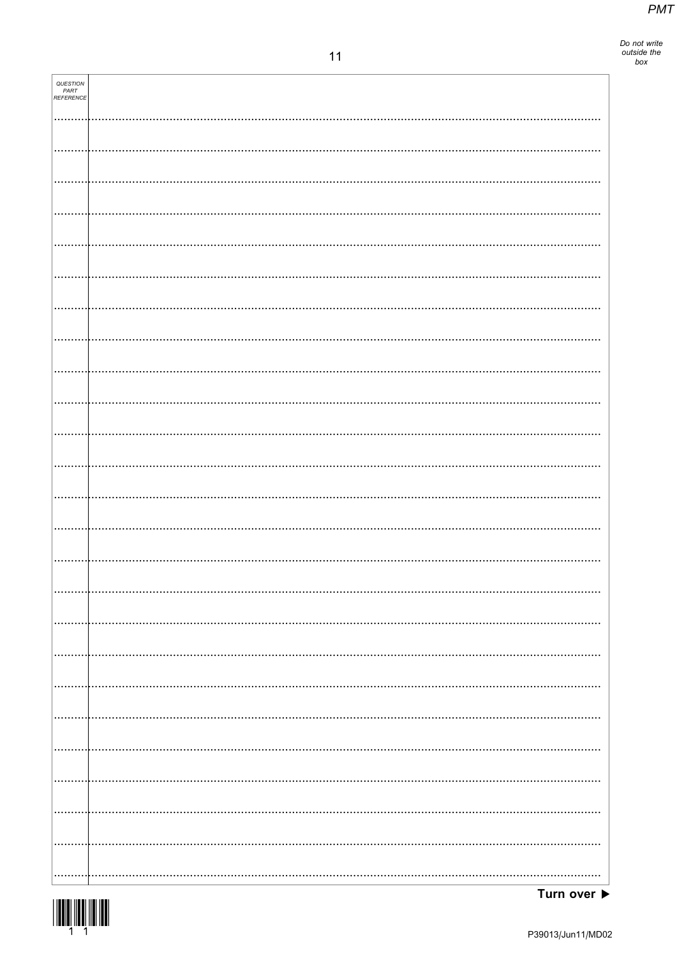| QUESTION<br>PART<br>REFERENCE |  |
|-------------------------------|--|
|                               |  |
|                               |  |
|                               |  |
|                               |  |
|                               |  |
|                               |  |
|                               |  |
|                               |  |
|                               |  |
|                               |  |
|                               |  |
|                               |  |
|                               |  |
|                               |  |
|                               |  |
|                               |  |
|                               |  |
|                               |  |
|                               |  |
|                               |  |
|                               |  |
|                               |  |
|                               |  |
|                               |  |

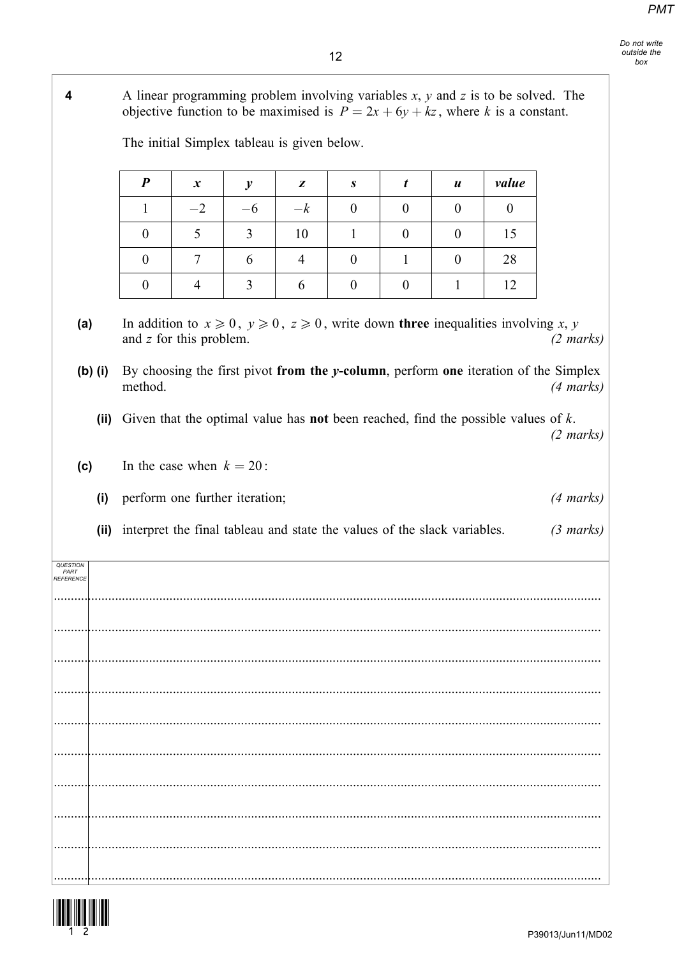A linear programming problem involving variables  $x$ ,  $y$  and  $z$  is to be solved. The

objective function to be maximised is  $P = 2x + 6y + kz$ , where k is a constant.

|                               |                  | The initial Simplex tableau is given below.                              |                  |                |                  |                  |                  |                                                                                                 |                                                                                                            |
|-------------------------------|------------------|--------------------------------------------------------------------------|------------------|----------------|------------------|------------------|------------------|-------------------------------------------------------------------------------------------------|------------------------------------------------------------------------------------------------------------|
|                               | $\boldsymbol{P}$ | $\boldsymbol{x}$                                                         | $\boldsymbol{y}$ | Z              | $\boldsymbol{S}$ | $\boldsymbol{t}$ | $\boldsymbol{u}$ | value                                                                                           |                                                                                                            |
|                               | $\mathbf{1}$     | $-2$                                                                     | $-6$             | $-k$           | $\mathbf{0}$     | $\boldsymbol{0}$ | $\boldsymbol{0}$ | $\boldsymbol{0}$                                                                                |                                                                                                            |
|                               | $\boldsymbol{0}$ | 5                                                                        | 3                | 10             | 1                | $\boldsymbol{0}$ | $\mathbf{0}$     | 15                                                                                              |                                                                                                            |
|                               | $\boldsymbol{0}$ | 7                                                                        | 6                | $\overline{4}$ | $\boldsymbol{0}$ | 1                | $\boldsymbol{0}$ | 28                                                                                              |                                                                                                            |
|                               | $\boldsymbol{0}$ | $\overline{4}$                                                           | 3                | 6              | $\boldsymbol{0}$ | $\boldsymbol{0}$ | $\mathbf{1}$     | 12                                                                                              |                                                                                                            |
| (a)                           |                  | and z for this problem.                                                  |                  |                |                  |                  |                  | In addition to $x \ge 0$ , $y \ge 0$ , $z \ge 0$ , write down three inequalities involving x, y | $(2 \text{ marks})$                                                                                        |
| $(b)$ (i)                     | method.          |                                                                          |                  |                |                  |                  |                  |                                                                                                 | By choosing the first pivot from the y-column, perform one iteration of the Simplex<br>$(4 \text{ marks})$ |
| (ii)                          |                  |                                                                          |                  |                |                  |                  |                  | Given that the optimal value has <b>not</b> been reached, find the possible values of $k$ .     | $(2 \text{ marks})$                                                                                        |
| (c)                           |                  | In the case when $k = 20$ :                                              |                  |                |                  |                  |                  |                                                                                                 |                                                                                                            |
| (i)                           |                  | perform one further iteration;                                           |                  |                |                  |                  |                  |                                                                                                 | $(4 \text{ marks})$                                                                                        |
| (ii)                          |                  | interpret the final tableau and state the values of the slack variables. |                  |                |                  |                  |                  |                                                                                                 | $(3 \text{ marks})$                                                                                        |
| QUESTION<br>PART<br>REFERENCE |                  |                                                                          |                  |                |                  |                  |                  |                                                                                                 |                                                                                                            |
|                               |                  |                                                                          |                  |                |                  |                  |                  |                                                                                                 |                                                                                                            |
|                               |                  |                                                                          |                  |                |                  |                  |                  |                                                                                                 |                                                                                                            |
|                               |                  |                                                                          |                  |                |                  |                  |                  |                                                                                                 |                                                                                                            |
|                               |                  |                                                                          |                  |                |                  |                  |                  |                                                                                                 |                                                                                                            |
|                               |                  |                                                                          |                  |                |                  |                  |                  |                                                                                                 |                                                                                                            |
|                               |                  |                                                                          |                  |                |                  |                  |                  |                                                                                                 |                                                                                                            |
|                               |                  |                                                                          |                  |                |                  |                  |                  |                                                                                                 |                                                                                                            |
|                               |                  |                                                                          |                  |                |                  |                  |                  |                                                                                                 |                                                                                                            |
|                               |                  |                                                                          |                  |                |                  |                  |                  |                                                                                                 |                                                                                                            |
|                               |                  |                                                                          |                  |                |                  |                  |                  |                                                                                                 |                                                                                                            |



 $\overline{\mathbf{4}}$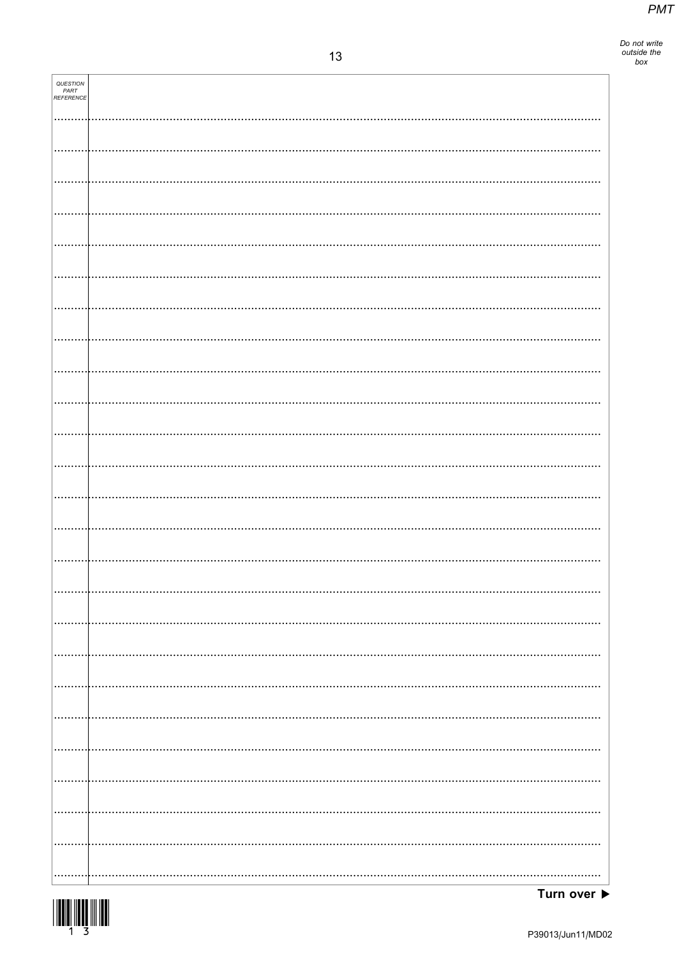Do not write<br>outside the<br>box

| QUESTION<br>PART<br>REFERENCE |          |
|-------------------------------|----------|
|                               |          |
|                               |          |
|                               |          |
|                               |          |
|                               |          |
|                               |          |
|                               |          |
|                               |          |
|                               |          |
|                               |          |
|                               |          |
|                               |          |
|                               |          |
|                               |          |
|                               |          |
|                               |          |
|                               |          |
|                               |          |
|                               |          |
|                               |          |
|                               | $\cdots$ |
|                               |          |
|                               |          |
|                               |          |
|                               |          |
|                               |          |



Turn over ▶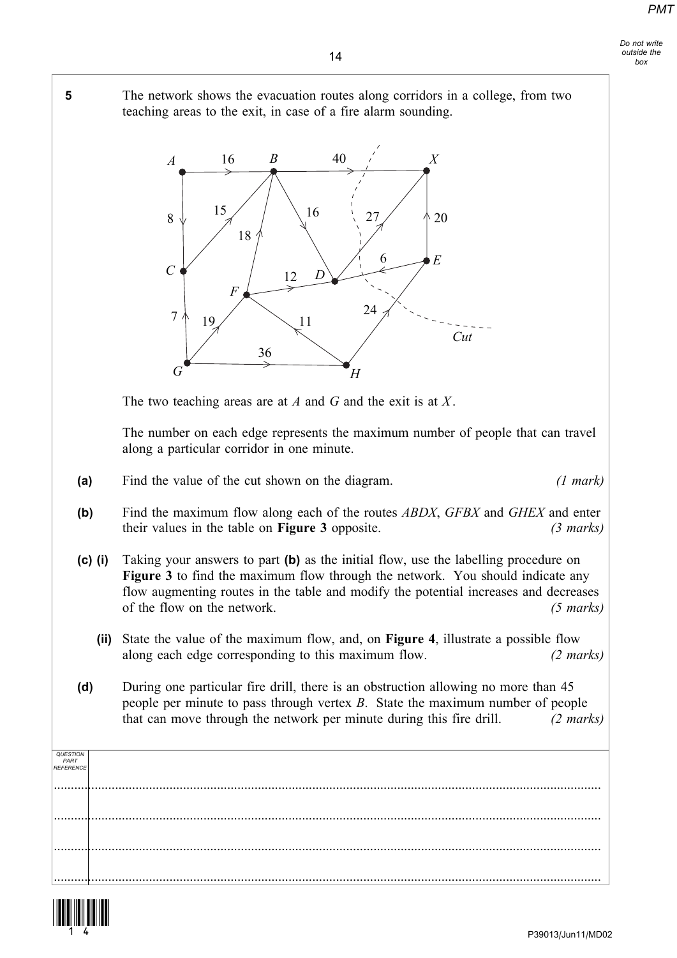



The two teaching areas are at  $A$  and  $G$  and the exit is at  $X$ .

The number on each edge represents the maximum number of people that can travel along a particular corridor in one minute.

- (a) Find the value of the cut shown on the diagram. (1 mark)
- (b) Find the maximum flow along each of the routes  $ABDX$ ,  $GFBX$  and  $GHEX$  and enter their values in the table on **Figure 3** opposite. (3 marks)
- (c) (i) Taking your answers to part (b) as the initial flow, use the labelling procedure on Figure 3 to find the maximum flow through the network. You should indicate any flow augmenting routes in the table and modify the potential increases and decreases of the flow on the network. (5 marks)
	- (ii) State the value of the maximum flow, and, on Figure 4, illustrate a possible flow along each edge corresponding to this maximum flow. (2 marks)
- (d) During one particular fire drill, there is an obstruction allowing no more than 45 people per minute to pass through vertex B. State the maximum number of people that can move through the network per minute during this fire drill. (2 marks)

| QUESTION<br>PART<br>REFERENCE |   |
|-------------------------------|---|
|                               | . |
|                               |   |
|                               |   |
|                               |   |
|                               |   |
|                               |   |
|                               |   |
|                               |   |
|                               |   |
|                               | . |
|                               |   |
|                               |   |
|                               |   |
| .                             | . |
|                               |   |

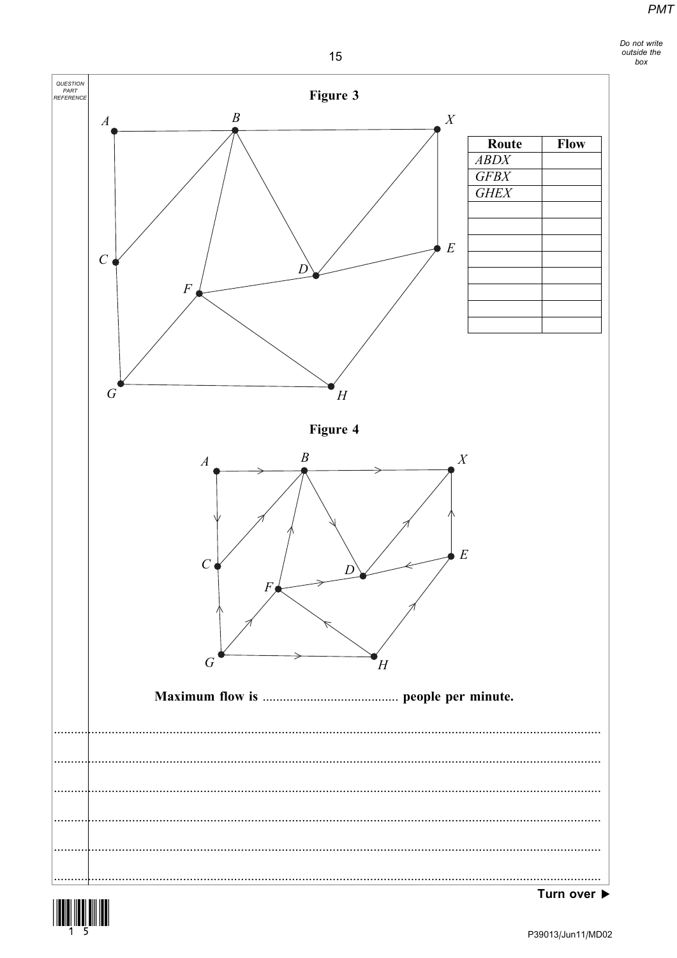

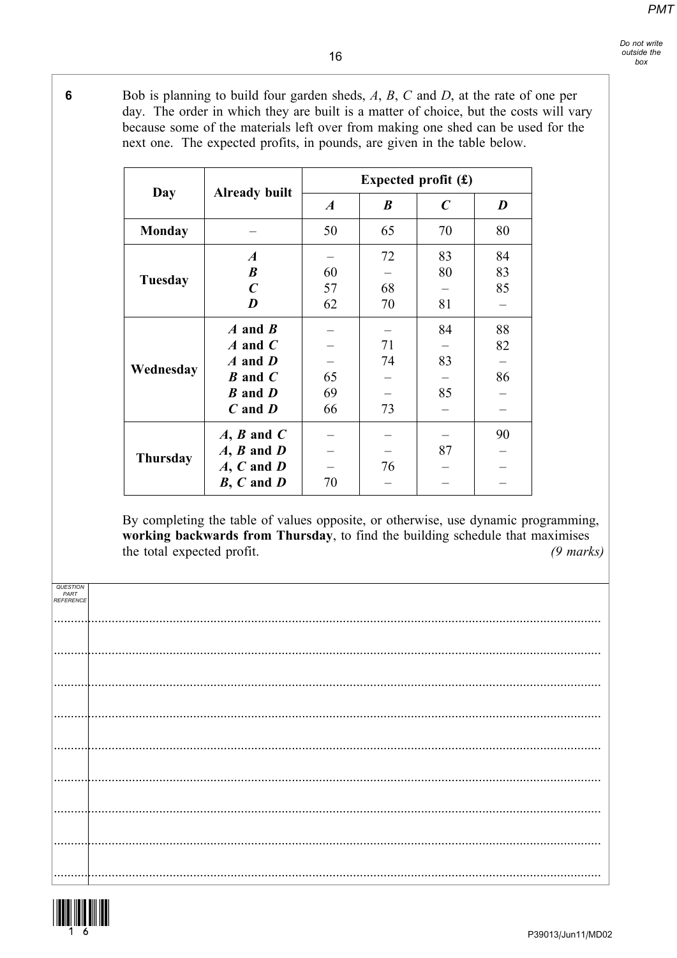Do not write outside the box

6 Bob is planning to build four garden sheds, A, B, C and D, at the rate of one per day. The order in which they are built is a matter of choice, but the costs will vary because some of the materials left over from making one shed can be used for the next one. The expected profits, in pounds, are given in the table below.

|               |                                                                                                                         | Expected profit $(\textbf{\pounds})$ |                  |                  |                  |  |
|---------------|-------------------------------------------------------------------------------------------------------------------------|--------------------------------------|------------------|------------------|------------------|--|
| Day           | Already built                                                                                                           | $\boldsymbol{A}$                     | $\boldsymbol{B}$ | $\boldsymbol{C}$ | $\boldsymbol{D}$ |  |
| <b>Monday</b> |                                                                                                                         | 50                                   | 65               | 70               | 80               |  |
| Tuesday       | $\boldsymbol{A}$<br>$\boldsymbol{B}$<br>$\boldsymbol{C}$<br>$\boldsymbol{D}$                                            | 60<br>57<br>62                       | 72<br>68<br>70   | 83<br>80<br>81   | 84<br>83<br>85   |  |
| Wednesday     | $A$ and $B$<br>$\boldsymbol{\Lambda}$ and $\boldsymbol{\Gamma}$<br>$A$ and $D$<br>$B$ and $C$<br>B and D<br>$C$ and $D$ | 65<br>69<br>66                       | 71<br>74<br>73   | 84<br>83<br>85   | 88<br>82<br>86   |  |
| Thursday      | $A, B$ and $C$<br>$A, B$ and $D$<br>$A, C$ and $D$<br>$B, C$ and $D$                                                    | 70                                   | 76               | 87               | 90               |  |

By completing the table of values opposite, or otherwise, use dynamic programming, working backwards from Thursday, to find the building schedule that maximises the total expected profit. (9 marks)

| QUESTION  |  |
|-----------|--|
| PART      |  |
| REFERENCE |  |
|           |  |
|           |  |
|           |  |
|           |  |
|           |  |
|           |  |
|           |  |
|           |  |
|           |  |
|           |  |
|           |  |
|           |  |
|           |  |
|           |  |
|           |  |
|           |  |
|           |  |
|           |  |
|           |  |
|           |  |
|           |  |
|           |  |
|           |  |
|           |  |
|           |  |
|           |  |
|           |  |
|           |  |
|           |  |
|           |  |
|           |  |
|           |  |
|           |  |
|           |  |
|           |  |

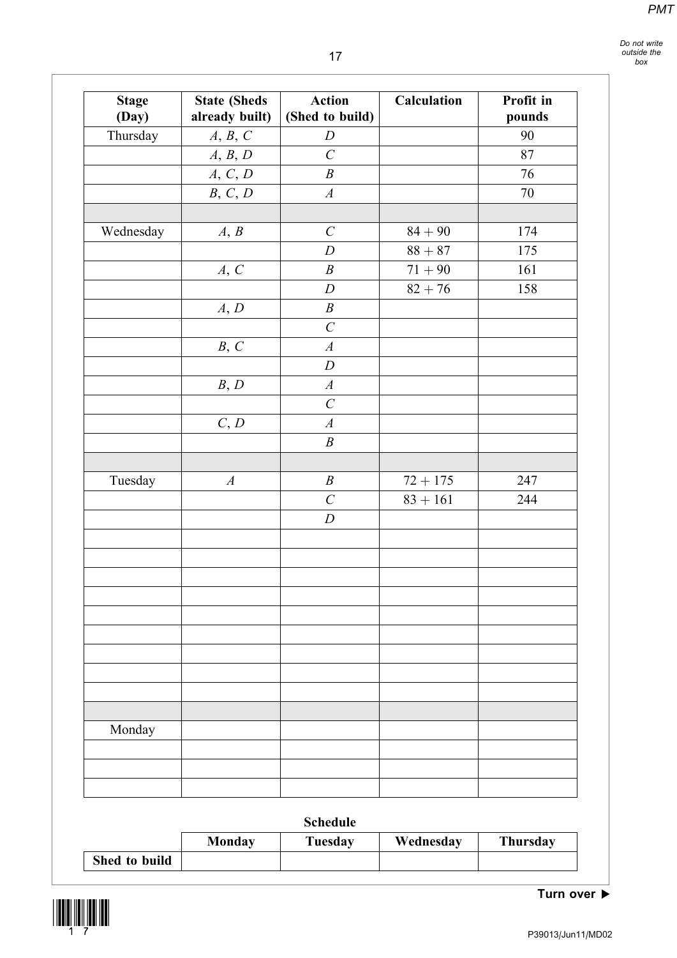Do not write outside the box

*PMT*

| <b>Stage</b><br>(Day) | <b>State (Sheds</b><br>already built) | <b>Action</b><br>(Shed to build) | Calculation | Profit in<br>pounds |
|-----------------------|---------------------------------------|----------------------------------|-------------|---------------------|
| Thursday              | A, B, C                               | $\boldsymbol{D}$                 |             | 90                  |
|                       | A, B, D                               | $\cal C$                         |             | 87                  |
|                       | A, C, D                               | $\boldsymbol{B}$                 |             | 76                  |
|                       | B, C, D                               | $\boldsymbol{A}$                 |             | $70\,$              |
| Wednesday             | A, B                                  | $\cal C$                         | $84 + 90$   | 174                 |
|                       |                                       | $\boldsymbol{D}$                 | $88 + 87$   | 175                 |
|                       | A, C                                  | $\boldsymbol{B}$                 | $71+90\,$   | 161                 |
|                       |                                       | $\boldsymbol{D}$                 | $82 + 76$   | 158                 |
|                       | A, D                                  | $\boldsymbol{B}$                 |             |                     |
|                       |                                       | $\mathcal{C}$                    |             |                     |
|                       | B, C                                  | $\boldsymbol{A}$                 |             |                     |
|                       |                                       | $\boldsymbol{D}$                 |             |                     |
|                       | B, D                                  | $\boldsymbol{A}$                 |             |                     |
|                       |                                       | $\cal C$                         |             |                     |
|                       | C, D                                  | $\boldsymbol{A}$                 |             |                     |
|                       |                                       | $\boldsymbol{B}$                 |             |                     |
| Tuesday               | $\boldsymbol{A}$                      | $\boldsymbol{B}$                 | $72 + 175$  | 247                 |
|                       |                                       | $\cal C$                         | $83 + 161$  | 244                 |
|                       |                                       | $\boldsymbol{D}$                 |             |                     |
|                       |                                       |                                  |             |                     |
|                       |                                       |                                  |             |                     |
|                       |                                       |                                  |             |                     |
|                       |                                       |                                  |             |                     |
|                       |                                       |                                  |             |                     |
|                       |                                       |                                  |             |                     |
|                       |                                       |                                  |             |                     |
|                       |                                       |                                  |             |                     |
|                       |                                       |                                  |             |                     |
|                       |                                       |                                  |             |                     |
| Monday                |                                       |                                  |             |                     |
|                       |                                       |                                  |             |                     |
|                       |                                       |                                  |             |                     |
|                       |                                       |                                  |             |                     |

|               | Monday | Tuesday | Wednesday | <b>Thursday</b> |
|---------------|--------|---------|-----------|-----------------|
| Shed to build |        |         |           |                 |

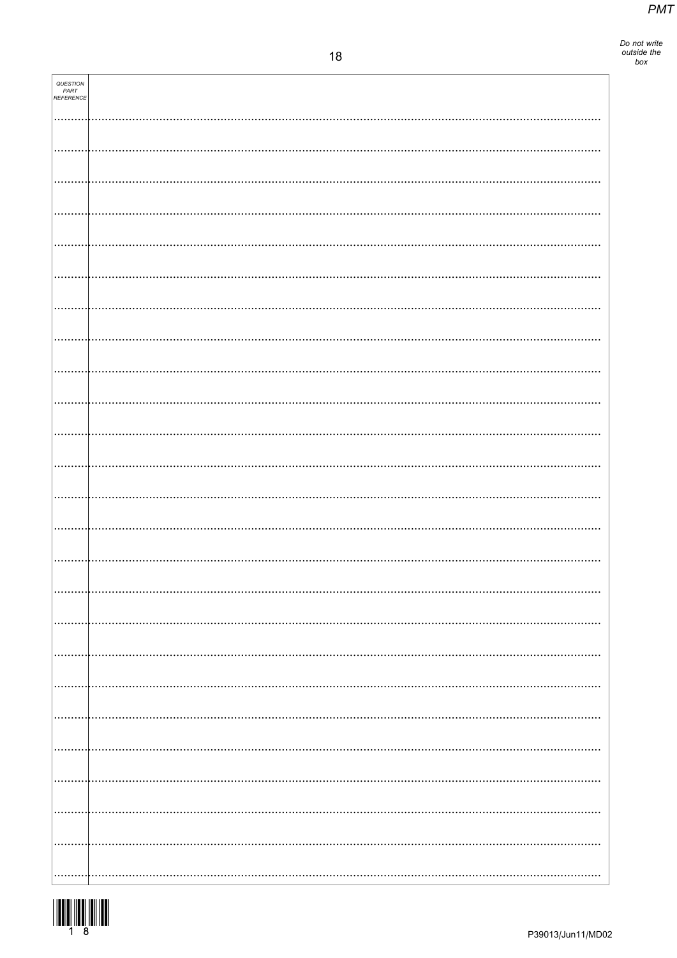| <b>QUESTION<br/>PART<br/>REFERENCE</b> |          |
|----------------------------------------|----------|
|                                        |          |
|                                        |          |
|                                        |          |
|                                        |          |
|                                        |          |
|                                        |          |
|                                        |          |
|                                        |          |
|                                        |          |
|                                        |          |
|                                        |          |
|                                        |          |
|                                        |          |
|                                        |          |
|                                        |          |
|                                        | $\cdots$ |
|                                        |          |
|                                        |          |
|                                        |          |
|                                        |          |
|                                        |          |
|                                        | $\cdots$ |
|                                        |          |
|                                        |          |

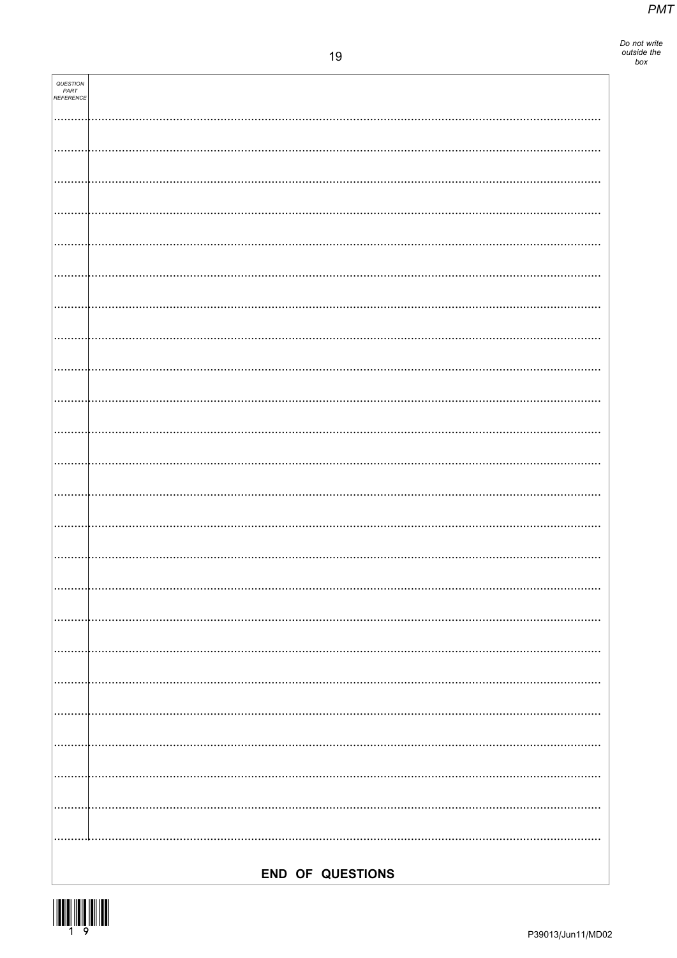| QUESTION<br>PART<br>REFERENCE |                  |
|-------------------------------|------------------|
|                               |                  |
|                               |                  |
|                               |                  |
|                               |                  |
|                               |                  |
|                               |                  |
|                               |                  |
|                               |                  |
|                               |                  |
|                               |                  |
|                               |                  |
|                               |                  |
|                               |                  |
|                               |                  |
|                               |                  |
|                               |                  |
|                               |                  |
|                               |                  |
|                               |                  |
|                               |                  |
|                               |                  |
|                               |                  |
|                               |                  |
|                               | END OF QUESTIONS |